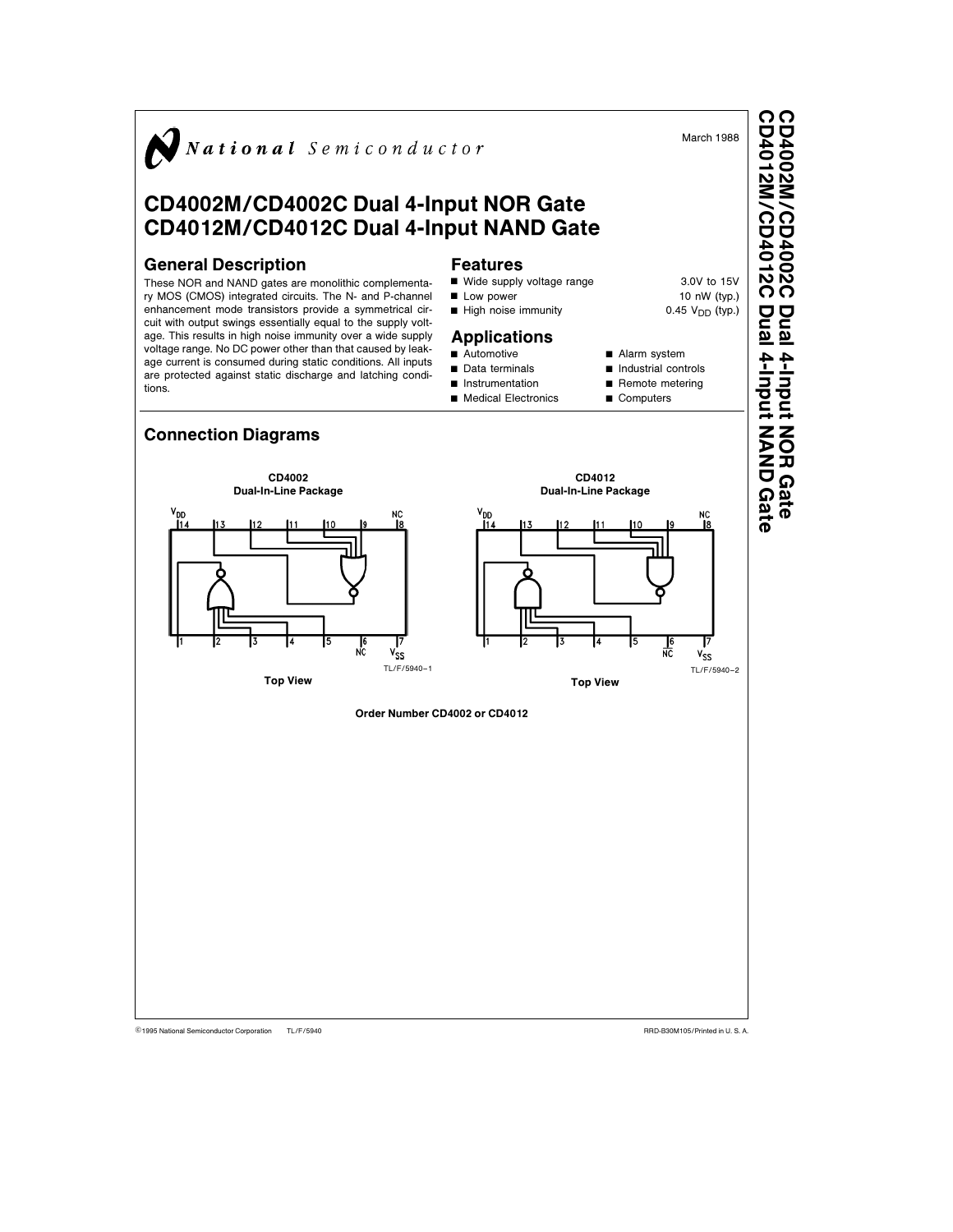

CD4012M/CD4012CCD4002M/CD4002CDual 4-Input NOR Gate

TL/F/5940 C1995 National Semiconductor Corporation TL/F/5940 Research 2012 12:00 RRD-B30M105/Printed in U. S. A.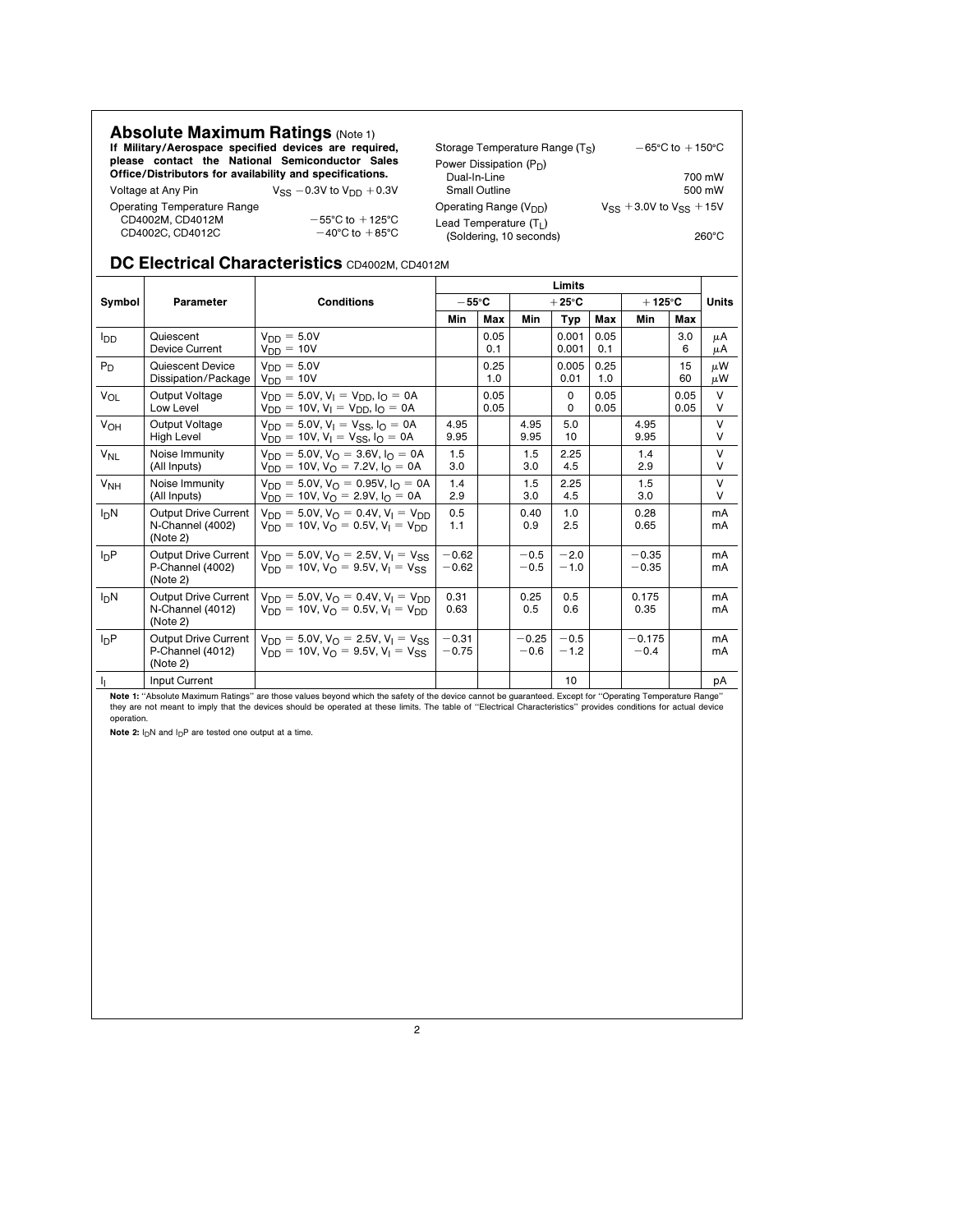| <b>Absolute Maximum Ratings (Note 1)</b><br>If Military/Aerospace specified devices are required,<br>please contact the National Semiconductor Sales |                                     | Storage Temperature Range (Ts)<br>Power Dissipation $(P_D)$ | $-65^{\circ}$ C to $+150^{\circ}$ C |
|------------------------------------------------------------------------------------------------------------------------------------------------------|-------------------------------------|-------------------------------------------------------------|-------------------------------------|
| Office/Distributors for availability and specifications.<br>Voltage at Any Pin                                                                       | $V_{SS}$ -0.3V to $V_{DD}$ +0.3V    | Dual-In-Line<br>Small Outline                               | 700 mW<br>500 mW                    |
| Operating Temperature Range<br>CD4002M, CD4012M                                                                                                      | $-55^{\circ}$ C to $+125^{\circ}$ C | Operating Range $(V_{DD})$                                  | $V_{SS}$ + 3.0V to $V_{SS}$ + 15V   |
| CD4002C, CD4012C                                                                                                                                     | $-40^{\circ}$ C to $+85^{\circ}$ C  | Lead Temperature $(T_1)$<br>(Soldering, 10 seconds)         | $260^{\circ}$ C                     |

## DC Electrical Characteristics CD4002M, CD4012M

|                       |                                                             |                                                                                                                                        |                    |              |                   | Limits            |              |                    |              |               |
|-----------------------|-------------------------------------------------------------|----------------------------------------------------------------------------------------------------------------------------------------|--------------------|--------------|-------------------|-------------------|--------------|--------------------|--------------|---------------|
| Symbol                | Parameter                                                   | <b>Conditions</b>                                                                                                                      | $-55^{\circ}$ C    |              |                   | $+25^{\circ}$ C   |              | $+125^{\circ}$ C   |              | <b>Units</b>  |
|                       |                                                             |                                                                                                                                        | Min                | Max          | Min               | Typ               | Max          | Min                | Max          |               |
| lop                   | Quiescent<br><b>Device Current</b>                          | $V_{DD} = 5.0V$<br>$V_{DD} = 10V$                                                                                                      |                    | 0.05<br>0.1  |                   | 0.001<br>0.001    | 0.05<br>0.1  |                    | 3.0<br>6     | μA<br>μA      |
| $P_D$                 | Quiescent Device<br>Dissipation/Package                     | $V_{DD} = 5.0V$<br>$V_{DD} = 10V$                                                                                                      |                    | 0.25<br>1.0  |                   | 0.005<br>0.01     | 0.25<br>1.0  |                    | 15<br>60     | $\mu$ W<br>μW |
| $V_{OL}$              | Output Voltage<br>Low Level                                 | $V_{DD} = 5.0V$ , $V_1 = V_{DD}$ , $I_0 = 0A$<br>$V_{DD} = 10V$ , $V_1 = V_{DD}$ , $I_{\Omega} = 0A$                                   |                    | 0.05<br>0.05 |                   | $\mathbf{0}$<br>0 | 0.05<br>0.05 |                    | 0.05<br>0.05 | V<br>V        |
| <b>V<sub>OH</sub></b> | Output Voltage<br><b>High Level</b>                         | $V_{DD} = 5.0V$ , $V_1 = V_{SS}$ , $I_0 = 0A$<br>$V_{DD} = 10V$ , $V_1 = V_{SS}$ , $I_0 = 0A$                                          | 4.95<br>9.95       |              | 4.95<br>9.95      | 5.0<br>10         |              | 4.95<br>9.95       |              | $\vee$<br>V   |
| $V_{NL}$              | Noise Immunity<br>(All Inputs)                              | $V_{DD} = 5.0V$ , $V_{\Omega} = 3.6V$ , $I_{\Omega} = 0A$<br>$V_{DD} = 10V$ , $V_{\Omega} = 7.2V$ , $I_{\Omega} = 0A$                  | 1.5<br>3.0         |              | 1.5<br>3.0        | 2.25<br>4.5       |              | 1.4<br>2.9         |              | V<br>V        |
| V <sub>NH</sub>       | Noise Immunity<br>(All Inputs)                              | $V_{DD} = 5.0V$ , $V_{\Omega} = 0.95V$ , $I_{\Omega} = 0A$<br>$V_{DD} = 10V$ , $V_{O} = 2.9V$ , $I_{O} = 0A$                           | 1.4<br>2.9         |              | 1.5<br>3.0        | 2.25<br>4.5       |              | 1.5<br>3.0         |              | $\vee$<br>V   |
| I <sub>D</sub> N      | <b>Output Drive Current</b><br>N-Channel (4002)<br>(Note 2) | $V_{DD} = 5.0V$ , $V_{\Omega} = 0.4V$ , $V_{\text{I}} = V_{\text{DD}}$<br>$V_{DD} = 10V$ , $V_{\Omega} = 0.5V$ , $V_{\Gamma} = V_{DD}$ | 0.5<br>1.1         |              | 0.40<br>0.9       | 1.0<br>2.5        |              | 0.28<br>0.65       |              | mA<br>mA      |
| InP                   | <b>Output Drive Current</b><br>P-Channel (4002)<br>(Note 2) | $V_{DD} = 5.0V$ , $V_{\Omega} = 2.5V$ , $V_{\Gamma} = V_{SC}$<br>$V_{DD} = 10V$ , $V_{\Omega} = 9.5V$ , $V_{\Gamma} = V_{SS}$          | $-0.62$<br>$-0.62$ |              | $-0.5$<br>$-0.5$  | $-2.0$<br>$-1.0$  |              | $-0.35$<br>$-0.35$ |              | mA<br>mA      |
| I <sub>D</sub> N      | Output Drive Current<br>N-Channel (4012)<br>(Note 2)        | $V_{DD} = 5.0V$ , $V_{\Omega} = 0.4V$ , $V_{\Gamma} = V_{DD}$<br>$V_{DD} = 10V$ , $V_{\Omega} = 0.5V$ , $V_{\Gamma} = V_{DD}$          | 0.31<br>0.63       |              | 0.25<br>0.5       | 0.5<br>0.6        |              | 0.175<br>0.35      |              | mA<br>mA      |
| $I_{D}P$              | Output Drive Current  <br>P-Channel (4012)<br>(Note 2)      | $V_{DD} = 5.0V$ , $V_{\Omega} = 2.5V$ , $V_{\Gamma} = V_{SC}$<br>$V_{DD} = 10V$ , $V_{\Omega} = 9.5V$ , $V_{\text{I}} = V_{SS}$        | $-0.31$<br>$-0.75$ |              | $-0.25$<br>$-0.6$ | $-0.5$<br>$-1.2$  |              | $-0.175$<br>$-0.4$ |              | mA<br>mA      |
| h,                    | Input Current                                               |                                                                                                                                        |                    |              |                   | 10                |              |                    |              | рA            |

**Note 1:** "Absolute Maximum Ratings" are those values beyond which the safety of the device cannot be guaranteed. Except for ''Operating Temperature Range''<br>they are not meant to imply that the devices should be operated a

Note 2:  $I_DN$  and  $I_DP$  are tested one output at a time.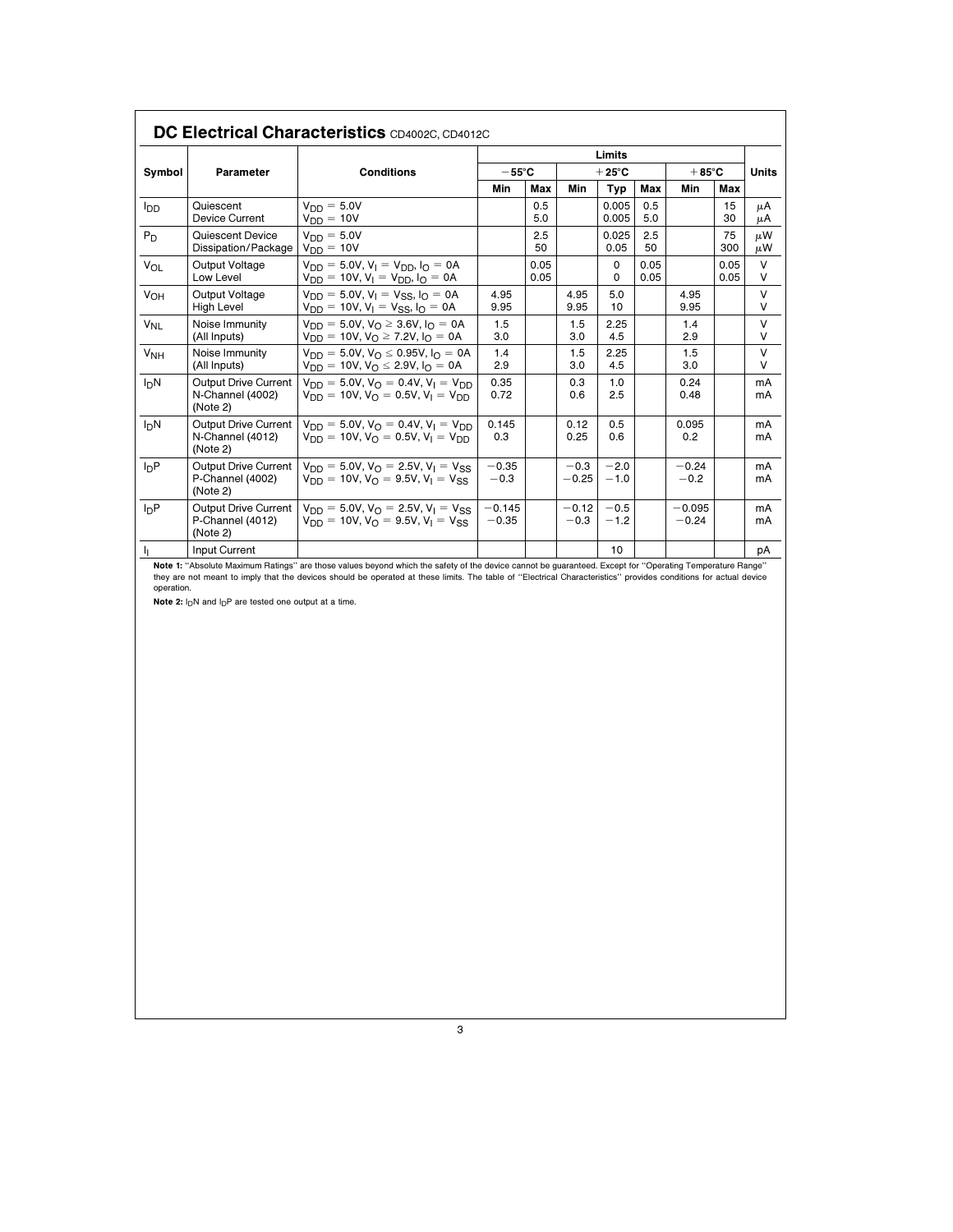|                 |                                                        |                                                                                                                                          |                     |              |                   | Limits           |              |                     |              |             |
|-----------------|--------------------------------------------------------|------------------------------------------------------------------------------------------------------------------------------------------|---------------------|--------------|-------------------|------------------|--------------|---------------------|--------------|-------------|
| Symbol          | Parameter                                              | <b>Conditions</b>                                                                                                                        | $-55^{\circ}$ C     |              |                   | $+25^{\circ}$ C  |              | $+85^{\circ}$ C     |              | Units       |
|                 |                                                        |                                                                                                                                          | Min                 | Max          | Min               | Typ              | Max          | Min                 | Max          |             |
| lpp             | Quiescent<br>Device Current                            | $V_{DD} = 5.0V$<br>$V_{DD} = 10V$                                                                                                        |                     | 0.5<br>5.0   |                   | 0.005<br>0.005   | 0.5<br>5.0   |                     | 15<br>30     | μA<br>μA    |
| P <sub>D</sub>  | Quiescent Device<br>Dissipation/Package                | $V_{DD} = 5.0V$<br>$V_{DD} = 10V$                                                                                                        |                     | 2.5<br>50    |                   | 0.025<br>0.05    | 2.5<br>50    |                     | 75<br>300    | μW<br>μW    |
| Vol             | Output Voltage<br>Low Level                            | $V_{DD} = 5.0V$ , $V_1 = V_{DD}$ , $I_0 = 0A$<br>$V_{DD} = 10V$ , $V_1 = V_{DD}$ , $I_Q = 0A$                                            |                     | 0.05<br>0.05 |                   | 0<br>$\Omega$    | 0.05<br>0.05 |                     | 0.05<br>0.05 | V<br>V      |
| V <sub>OH</sub> | Output Voltage<br><b>High Level</b>                    | $V_{DD} = 5.0V$ , $V_1 = V_{SS}$ , $I_0 = 0A$<br>$V_{DD} = 10V, V_1 = V_{SS}$ , $I_0 = 0A$                                               | 4.95<br>9.95        |              | 4.95<br>9.95      | 5.0<br>10        |              | 4.95<br>9.95        |              | $\vee$<br>V |
| V <sub>NI</sub> | Noise Immunity<br>(All Inputs)                         | $V_{DD} = 5.0V$ , $V_{\Omega} \ge 3.6V$ , $I_{\Omega} = 0A$<br>$V_{DD} = 10V$ , $V_{O} \ge 7.2V$ , $I_{O} = 0A$                          | 1.5<br>3.0          |              | 1.5<br>3.0        | 2.25<br>4.5      |              | 1.4<br>2.9          |              | V<br>V      |
| V <sub>NH</sub> | Noise Immunity<br>(All Inputs)                         | $V_{DD} = 5.0V$ , $V_{\Omega} \le 0.95V$ , $I_{\Omega} = 0A$<br>$V_{DD} = 10V, V_{\Omega} \le 2.9V, I_{\Omega} = 0A$                     | 1.4<br>2.9          |              | 1.5<br>3.0        | 2.25<br>4.5      |              | 1.5<br>3.0          |              | V<br>v      |
| InN             | Output Drive Current<br>N-Channel (4002)<br>(Note 2)   | $V_{DD} = 5.0V$ , $V_{\Omega} = 0.4V$ , $V_{\text{I}} = V_{\text{DD}}$<br>$V_{DD} = 10V$ , $V_{\Omega} = 0.5V$ , $V_{\text{I}} = V_{DD}$ | 0.35<br>0.72        |              | 0.3<br>0.6        | 1.0<br>2.5       |              | 0.24<br>0.48        |              | mA<br>mA    |
| InN             | Output Drive Current<br>N-Channel (4012)<br>(Note 2)   | $V_{DD} = 5.0V$ , $V_{\Omega} = 0.4V$ , $V_{\Gamma} = V_{DD}$<br>$V_{DD} = 10V$ , $V_{\Omega} = 0.5V$ , $V_{\text{I}} = V_{\text{DD}}$   | 0.145<br>0.3        |              | 0.12<br>0.25      | 0.5<br>0.6       |              | 0.095<br>0.2        |              | mA<br>mA    |
| InP             | Output Drive Current<br>P-Channel (4002)<br>(Note 2)   | $V_{DD} = 5.0V$ , $V_{\Omega} = 2.5V$ , $V_{\text{I}} = V_{SS}$<br>$V_{DD} = 10V$ , $V_{\Omega} = 9.5V$ , $V_{\text{I}} = V_{SS}$        | $-0.35$<br>$-0.3$   |              | $-0.3$<br>$-0.25$ | $-2.0$<br>$-1.0$ |              | $-0.24$<br>$-0.2$   |              | mA<br>mA    |
| InP             | Output Drive Current  <br>P-Channel (4012)<br>(Note 2) | $V_{DD} = 5.0V$ , $V_{O} = 2.5V$ , $V_{I} = V_{SS}$<br>$V_{DD} = 10V$ , $V_{\Omega} = 9.5V$ , $V_{\text{I}} = V_{SS}$                    | $-0.145$<br>$-0.35$ |              | $-0.12$<br>$-0.3$ | $-0.5$<br>$-1.2$ |              | $-0.095$<br>$-0.24$ |              | mA<br>mA    |
| h.              | Input Current                                          |                                                                                                                                          |                     |              |                   | 10               |              |                     |              | рA          |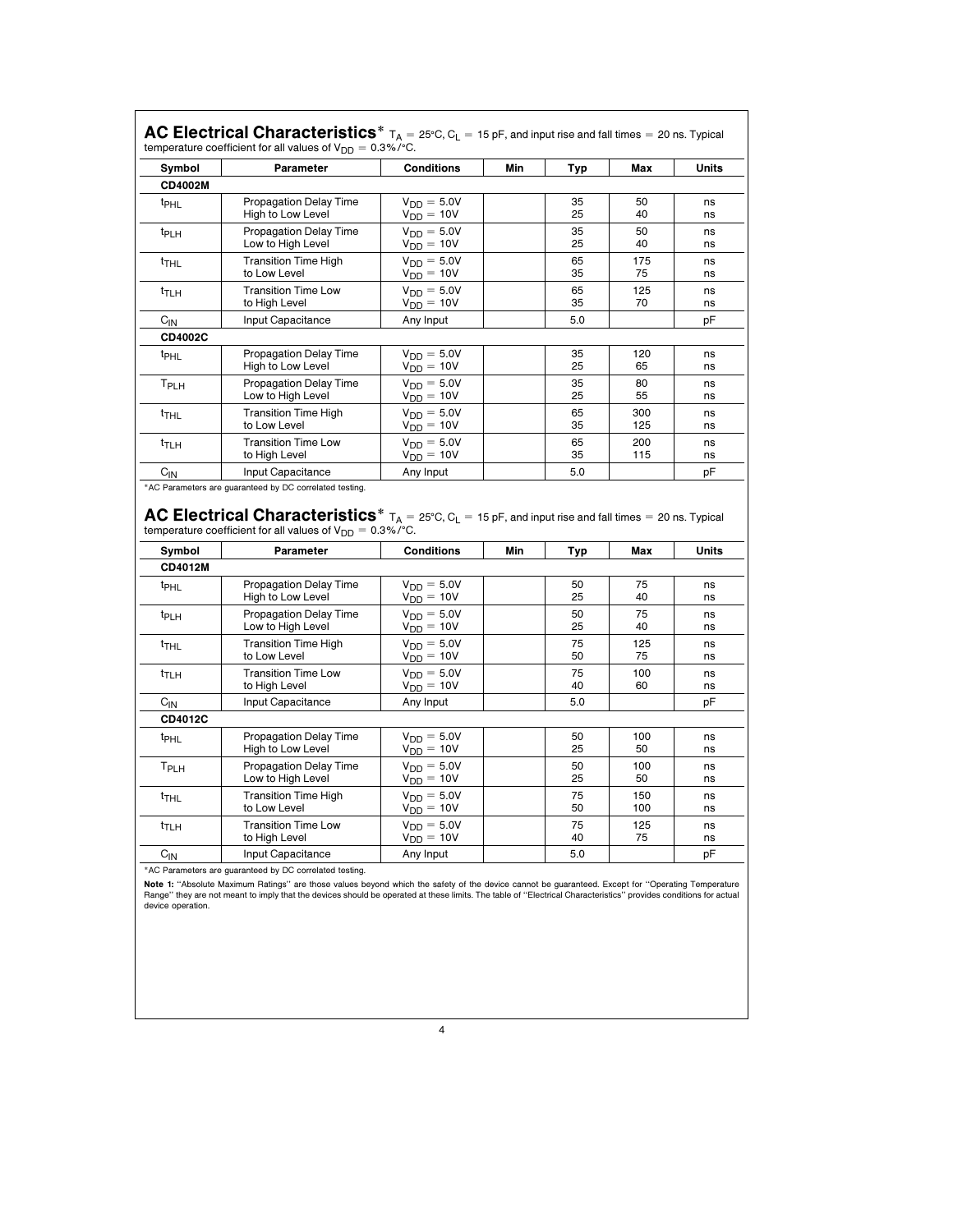| Symbol           | Parameter                                                                                                                                                                                                                                                                | <b>Conditions</b>                                   | Min | Typ      | Max        | <b>Units</b> |
|------------------|--------------------------------------------------------------------------------------------------------------------------------------------------------------------------------------------------------------------------------------------------------------------------|-----------------------------------------------------|-----|----------|------------|--------------|
| CD4002M          |                                                                                                                                                                                                                                                                          |                                                     |     |          |            |              |
| t <sub>PHL</sub> | <b>Propagation Delay Time</b><br>High to Low Level                                                                                                                                                                                                                       | $V_{DD} = 5.0V$<br>$V_{DD} = 10V$                   |     | 35<br>25 | 50<br>40   | ns<br>ns     |
| t <sub>PLH</sub> | <b>Propagation Delay Time</b><br>Low to High Level                                                                                                                                                                                                                       | $V_{DD} = 5.0V$<br>$V_{DD} = 10V$                   |     | 35<br>25 | 50<br>40   | ns<br>ns     |
| t <sub>THL</sub> | <b>Transition Time High</b><br>to Low Level                                                                                                                                                                                                                              | $V_{DD} = 5.0V$<br>$V_{DD} = 10V$                   |     | 65<br>35 | 175<br>75  | ns<br>ns     |
| t <sub>TLH</sub> | <b>Transition Time Low</b><br>to High Level                                                                                                                                                                                                                              | $V_{DD} = 5.0V$<br>$V_{DD} = 10V$                   |     | 65<br>35 | 125<br>70  | ns<br>ns     |
| $C_{IN}$         | Input Capacitance                                                                                                                                                                                                                                                        | Any Input                                           |     | 5.0      |            | pF           |
| CD4002C          |                                                                                                                                                                                                                                                                          |                                                     |     |          |            |              |
| t <sub>PHL</sub> | <b>Propagation Delay Time</b><br>High to Low Level                                                                                                                                                                                                                       | $V_{DD} = 5.0V$<br>$V_{DD} = 10V$                   |     | 35<br>25 | 120<br>65  | ns<br>ns     |
| T <sub>PLH</sub> | <b>Propagation Delay Time</b><br>Low to High Level                                                                                                                                                                                                                       | $V_{DD} = 5.0V$<br>$V_{DD} = 10V$                   |     | 35<br>25 | 80<br>55   | ns<br>ns     |
| $t$ THL          | <b>Transition Time High</b><br>to Low Level                                                                                                                                                                                                                              | $V_{DD} = 5.0V$<br>$V_{DD} = 10V$                   |     | 65<br>35 | 300<br>125 | ns<br>ns     |
| $t_{\text{TLH}}$ | <b>Transition Time Low</b>                                                                                                                                                                                                                                               | $V_{DD} = 5.0V$                                     |     | 65<br>35 | 200<br>115 | ns<br>ns     |
|                  | to High Level                                                                                                                                                                                                                                                            |                                                     |     |          |            |              |
| $C_{11}$         | Input Capacitance<br>*AC Parameters are guaranteed by DC correlated testing.<br>AC Electrical Characteristics $*$ $T_A = 25^{\circ}C$ , $C_L = 15$ pF, and input rise and fall times = 20 ns. Typical<br>temperature coefficient for all values of $V_{DD} = 0.3\%$ /°C. | $V_{DD} = 10V$<br>Any Input                         |     | 5.0      |            | pF           |
| Symbol           | Parameter                                                                                                                                                                                                                                                                | Conditions                                          | Min | Typ      | Max        | <b>Units</b> |
| <b>CD4012M</b>   |                                                                                                                                                                                                                                                                          |                                                     |     |          |            |              |
| t <sub>PHL</sub> | <b>Propagation Delay Time</b><br>High to Low Level                                                                                                                                                                                                                       | $V_{DD} = 5.0V$<br>$V_{DD} = 10V$                   |     | 50<br>25 | 75<br>40   | ns<br>ns     |
| <sup>t</sup> PLH | <b>Propagation Delay Time</b><br>Low to High Level                                                                                                                                                                                                                       | $V_{DD} = 5.0V$<br>$V_{DD} = 10V$                   |     | 50<br>25 | 75<br>40   | ns<br>ns     |
| $t_{THL}$        | <b>Transition Time High</b><br>to Low Level                                                                                                                                                                                                                              | $V_{DD} = 5.0V$<br>$V_{DD} = 10V$                   |     | 75<br>50 | 125<br>75  | ns<br>ns     |
| t <sub>TLH</sub> | <b>Transition Time Low</b><br>to High Level                                                                                                                                                                                                                              | $V_{DD} = 5.0V$<br>$V_{DD} = 10V$                   |     | 75<br>40 | 100<br>60  | ns<br>ns     |
| $C_{IN}$         | Input Capacitance                                                                                                                                                                                                                                                        | Any Input                                           |     | 5.0      |            | pF           |
| CD4012C          |                                                                                                                                                                                                                                                                          |                                                     |     |          |            |              |
| t <sub>PHL</sub> | <b>Propagation Delay Time</b><br>High to Low Level                                                                                                                                                                                                                       | $V_{DD} = 5.0V$<br>$V_{DD} = 10V$                   |     | 50<br>25 | 100<br>50  | ns<br>ns     |
| T <sub>PLH</sub> | <b>Propagation Delay Time</b><br>Low to High Level                                                                                                                                                                                                                       | $V_{DD} = 5.0V$                                     |     | 50<br>25 | 100<br>50  | ns<br>ns     |
| <sup>t</sup> THL | <b>Transition Time High</b><br>to Low Level                                                                                                                                                                                                                              | $V_{DD} = 10V$<br>$V_{DD} = 5.0V$<br>$V_{DD} = 10V$ |     | 75<br>50 | 150<br>100 | ns<br>ns     |
| tт∟н             | <b>Transition Time Low</b><br>to High Level                                                                                                                                                                                                                              | $V_{DD} = 5.0V$<br>$V_{DD} = 10V$                   |     | 75<br>40 | 125<br>75  | ns<br>ns     |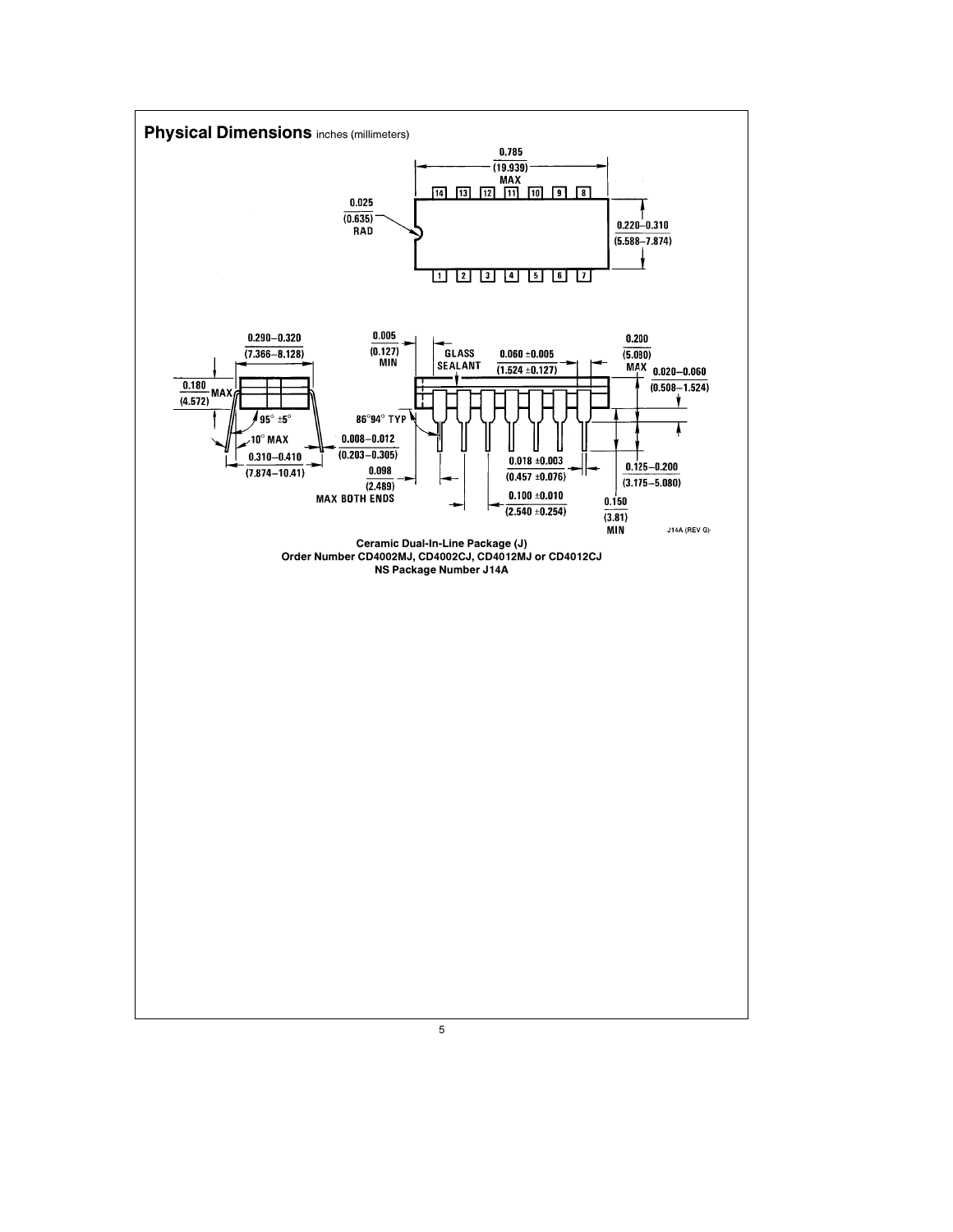